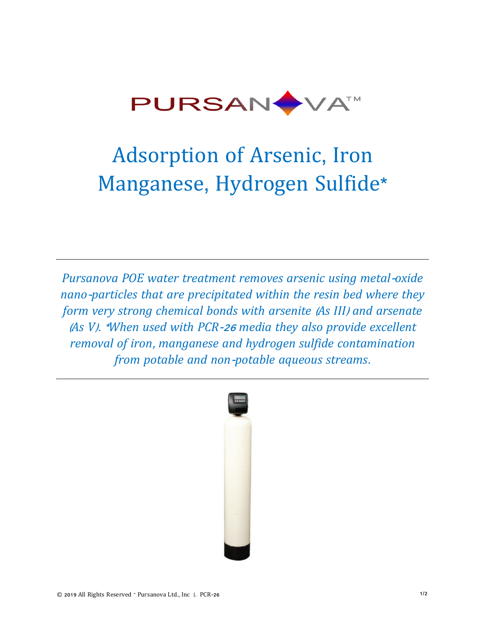

# Adsorption of Arsenic, Iron Manganese, Hydrogen Sulfide\*

*Pursanova POE water treatment removes arsenic using metal*-*oxide nano*-*particles that are precipitated within the resin bed where they form very strong chemical bonds with arsenite* (*As III*) *and arsenate* (*As V*). \**When used with PCR*-26 *media they also provide excellent removal of iron*, *manganese and hydrogen sulfide contamination from potable and non*-*potable aqueous streams*.

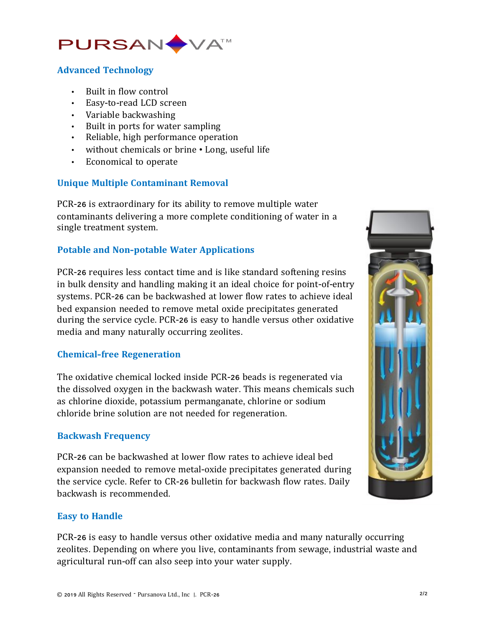

# **Advanced Technology**

- Built in flow control
- Easy-to-read LCD screen
- Variable backwashing
- Built in ports for water sampling
- Reliable, high performance operation
- without chemicals or brine Long, useful life
- Economical to operate

## **Unique Multiple Contaminant Removal**

PCR-26 is extraordinary for its ability to remove multiple water contaminants delivering a more complete conditioning of water in a single treatment system.

## **Potable and Non-potable Water Applications**

PCR-26 requires less contact time and is like standard softening resins in bulk density and handling making it an ideal choice for point-of-entry systems. PCR-26 can be backwashed at lower flow rates to achieve ideal bed expansion needed to remove metal oxide precipitates generated during the service cycle. PCR-26 is easy to handle versus other oxidative media and many naturally occurring zeolites.

#### **Chemical-free Regeneration**

The oxidative chemical locked inside PCR-26 beads is regenerated via the dissolved oxygen in the backwash water. This means chemicals such as chlorine dioxide, potassium permanganate, chlorine or sodium chloride brine solution are not needed for regeneration.

#### **Backwash Frequency**

PCR-26 can be backwashed at lower flow rates to achieve ideal bed expansion needed to remove metal-oxide precipitates generated during the service cycle. Refer to CR-26 bulletin for backwash flow rates. Daily backwash is recommended.



#### **Easy to Handle**

PCR-26 is easy to handle versus other oxidative media and many naturally occurring zeolites. Depending on where you live, contaminants from sewage, industrial waste and agricultural run-off can also seep into your water supply.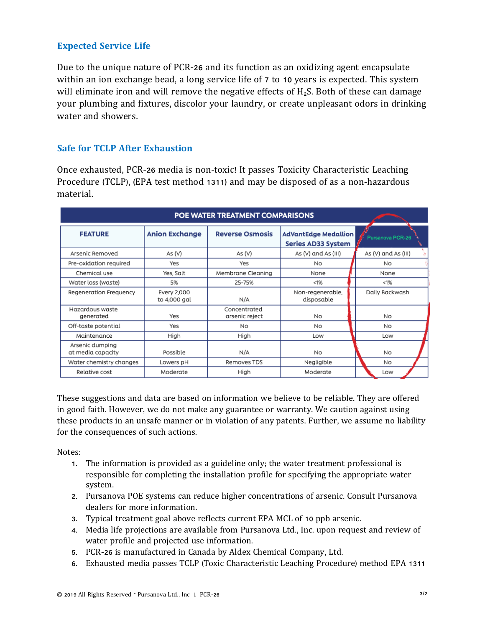# **Expected Service Life**

Due to the unique nature of PCR-26 and its function as an oxidizing agent encapsulate within an ion exchange bead, a long service life of 7 to 10 years is expected. This system will eliminate iron and will remove the negative effects of  $H_2S$ . Both of these can damage your plumbing and fixtures, discolor your laundry, or create unpleasant odors in drinking water and showers.

#### **Safe for TCLP After Exhaustion**

Once exhausted, PCR-26 media is non-toxic! It passes Toxicity Characteristic Leaching Procedure (TCLP), (EPA test method 1311) and may be disposed of as a non-hazardous material.

| POE WATER TREATMENT COMPARISONS      |                             |                                |                                                          |                     |  |
|--------------------------------------|-----------------------------|--------------------------------|----------------------------------------------------------|---------------------|--|
| <b>FEATURE</b>                       | <b>Anion Exchange</b>       | <b>Reverse Osmosis</b>         | <b>AdVantEdge Medallion</b><br><b>Series AD33 System</b> | Pursanova PCR-26    |  |
| Arsenic Removed                      | As $(V)$                    | As $(V)$                       | As (V) and As (III)                                      | As (V) and As (III) |  |
| Pre-oxidation required               | Yes                         | Yes                            | <b>No</b>                                                | No                  |  |
| Chemical use                         | Yes, Salt                   | Membrane Cleaning              | None                                                     | None                |  |
| Water loss (waste)                   | 5%                          | 25-75%                         | < 1%                                                     | < 1%                |  |
| Regeneration Frequency               | Every 2,000<br>to 4,000 gal | N/A                            | Non-regenerable,<br>disposable                           | Daily Backwash      |  |
| Hazardous waste<br>generated         | Yes                         | Concentrated<br>arsenic reject | No                                                       | No                  |  |
| Off-taste potential                  | Yes                         | N <sub>O</sub>                 | No                                                       | <b>No</b>           |  |
| Maintenance                          | High                        | High                           | Low                                                      | Low                 |  |
| Arsenic dumping<br>at media capacity | Possible                    | N/A                            | <b>No</b>                                                | No                  |  |
| Water chemistry changes              | Lowers pH                   | Removes TDS                    | Negligible                                               | No                  |  |
| Relative cost                        | Moderate                    | High                           | Moderate                                                 | Low                 |  |

These suggestions and data are based on information we believe to be reliable. They are offered in good faith. However, we do not make any guarantee or warranty. We caution against using these products in an unsafe manner or in violation of any patents. Further, we assume no liability for the consequences of such actions.

Notes:

- 1. The information is provided as a guideline only; the water treatment professional is responsible for completing the installation profile for specifying the appropriate water system.
- 2. Pursanova POE systems can reduce higher concentrations of arsenic. Consult Pursanova dealers for more information.
- 3. Typical treatment goal above reflects current EPA MCL of 10 ppb arsenic.
- 4. Media life projections are available from Pursanova Ltd., Inc. upon request and review of water profile and projected use information.
- 5. PCR-26 is manufactured in Canada by Aldex Chemical Company, Ltd.
- 6. Exhausted media passes TCLP (Toxic Characteristic Leaching Procedure) method EPA 1311